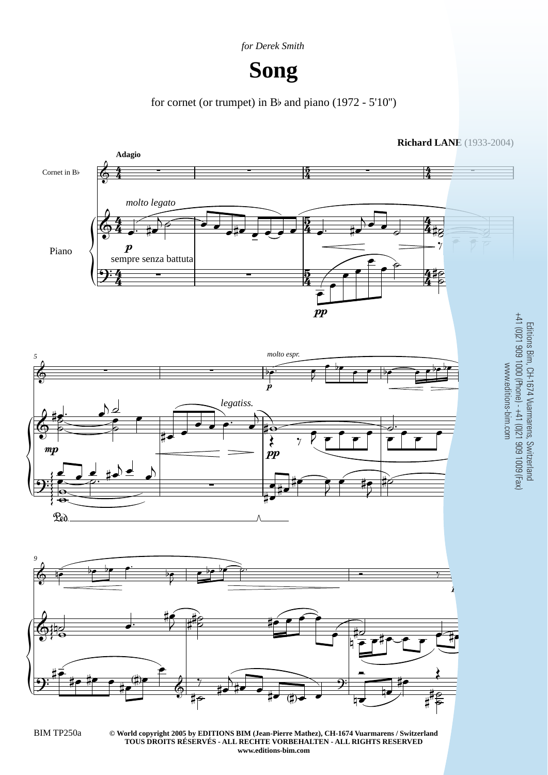

## **Song**

for cornet (or trumpet) in Bb and piano (1972 - 5'10'')



Editions Bim, CH-1674 Vuarmarens, Switzerland

**© World copyright 2005 by EDITIONS BIM (Jean-Pierre Mathez), CH-1674 Vuarmarens / Switzerland** BIM TP250a 3 **TOUS DROITS RÉSERVÉS - ALL RECHTE VORBEHALTEN - ALL RIGHTS RESERVED www.editions-bim.com**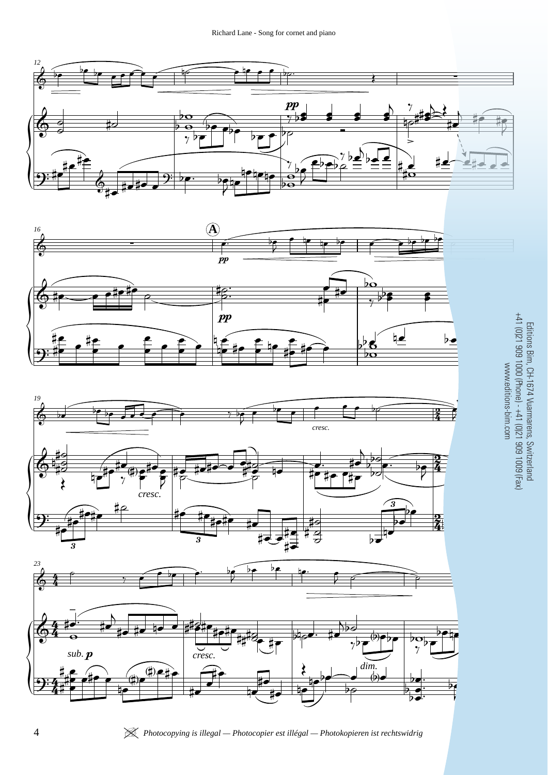







nin<br>S-him Editions Bim, CH-1674 Vuarmarens, Switzerland +41 (0)21 909 1000 (Phone) - +41 (0)21 909 1009 (Fax) www.editions-bim.com